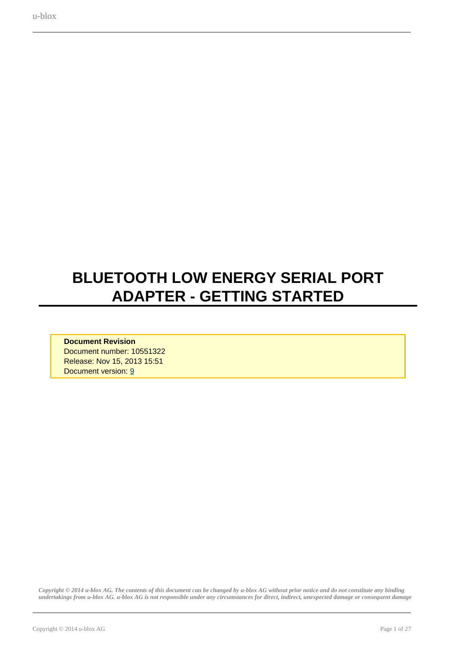# <span id="page-0-0"></span>**BLUETOOTH LOW ENERGY SERIAL PORT ADAPTER - GETTING STARTED**

**Document Revision** Document number: 10551322 Release: Nov 15, 2013 15:51 Document version: [9](#page-0-0)

*Copyright © 2014 u-blox AG. The contents of this document can be changed by u-blox AG without prior notice and do not constitute any binding undertakings from u-blox AG. u-blox AG is not responsible under any circumstances for direct, indirect, unexpected damage or consequent damage*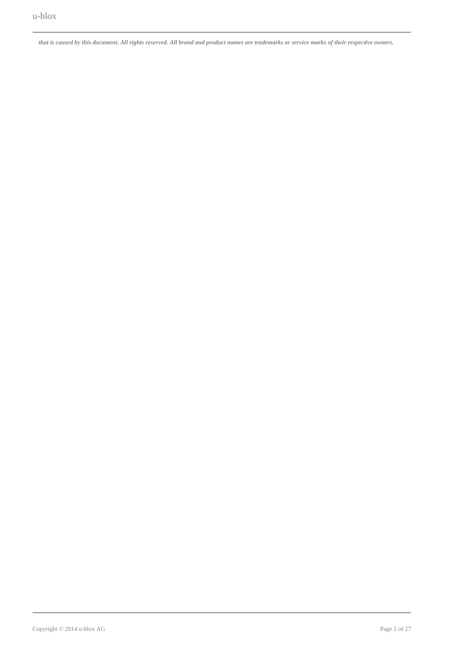*that is caused by this document. All rights reserved. All brand and product names are trademarks or service marks of their respective owners.*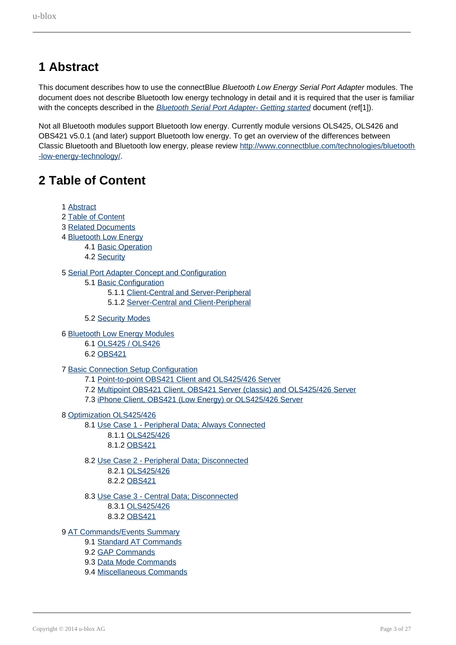## <span id="page-2-0"></span>**1 Abstract**

This document describes how to use the connectBlue Bluetooth Low Energy Serial Port Adapter modules. The document does not describe Bluetooth low energy technology in detail and it is required that the user is familiar with the concepts described in the **Bluetooth Serial Port Adapter- Getting started document (ref[1]**).

Not all Bluetooth modules support Bluetooth low energy. Currently module versions OLS425, OLS426 and OBS421 v5.0.1 (and later) support Bluetooth low energy. To get an overview of the differences between Classic Bluetooth and Bluetooth low energy, please review [http://www.connectblue.com/technologies/bluetooth](http://www.connectblue.com/technologies/bluetooth-low-energy-technology/) [-low-energy-technology/](http://www.connectblue.com/technologies/bluetooth-low-energy-technology/).

## <span id="page-2-1"></span>**2 Table of Content**

- 1 [Abstract](#page-2-0)
- 2 [Table of Content](#page-2-1)
- 3 [Related Documents](#page-3-0)
- 4 [Bluetooth Low Energy](#page-3-1)
	- 4.1 [Basic Operation](#page-4-0)
	- 4.2 [Security](#page-7-0)

#### 5 [Serial Port Adapter Concept and Configuration](#page-7-1)

- 5.1 [Basic Configuration](#page-7-2)
	- 5.1.1 [Client-Central and Server-Peripheral](#page-8-0)
	- 5.1.2 [Server-Central and Client-Peripheral](#page-9-0)
	- 5.2 [Security Modes](#page-10-0)
- 6 [Bluetooth Low Energy Modules](#page-10-1)
	- 6.1 [OLS425 / OLS426](#page-10-2)
	- 6.2 [OBS421](#page-23-0)
- 7 [Basic Connection Setup Configuration](#page-14-0)
	- 7.1 [Point-to-point OBS421 Client and OLS425/426 Server](#page-14-1)
	- 7.2 [Multipoint OBS421 Client, OBS421 Server \(classic\) and OLS425/426 Server](#page-15-0)
	- 7.3 [iPhone Client, OBS421 \(Low Energy\) or OLS425/426 Server](#page-15-1)
- 8 [Optimization OLS425/426](#page-16-0)
	- 8.1 [Use Case 1 Peripheral Data; Always Connected](#page-16-1)
		- 8.1.1 [OLS425/426](#page-23-1) 8.1.2 [OBS421](#page-23-0)
	- 8.2 [Use Case 2 Peripheral Data; Disconnected](#page-18-0)
		- 8.2.1 [OLS425/426](#page-23-1) 8.2.2 [OBS421](#page-23-0)
	- 8.3 [Use Case 3 Central Data; Disconnected](#page-21-0) 8.3.1 [OLS425/426](#page-23-1) 8.3.2 [OBS421](#page-23-0)
- 9 [AT Commands/Events Summary](#page-23-2)
	- 9.1 [Standard AT Commands](#page-24-0)
	- 9.2 [GAP Commands](#page-25-0)
	- 9.3 [Data Mode Commands](#page-26-0)
	- 9.4 [Miscellaneous Commands](#page-26-1)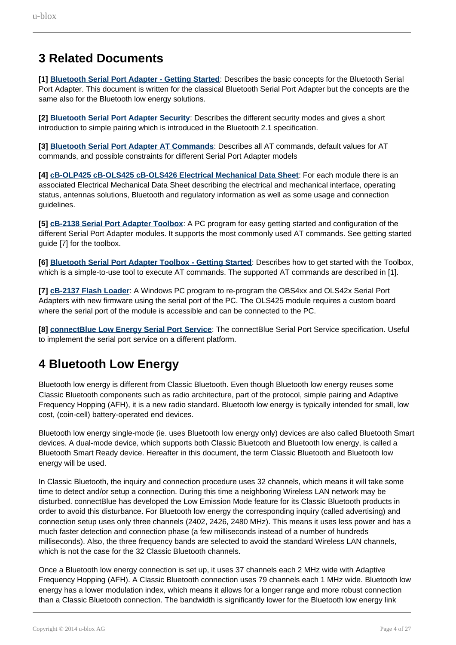## <span id="page-3-0"></span>**3 Related Documents**

**[1] Bluetooth Serial Port Adapter - Getting Started**: Describes the basic concepts for the Bluetooth Serial Port Adapter. This document is written for the classical Bluetooth Serial Port Adapter but the concepts are the same also for the Bluetooth low energy solutions.

**[2] Bluetooth Serial Port Adapter Security**: Describes the different security modes and gives a short introduction to simple pairing which is introduced in the Bluetooth 2.1 specification.

**[3] Bluetooth Serial Port Adapter AT Commands**: Describes all AT commands, default values for AT commands, and possible constraints for different Serial Port Adapter models

**[4] cB-OLP425 cB-OLS425 cB-OLS426 Electrical Mechanical Data Sheet**: For each module there is an associated Electrical Mechanical Data Sheet describing the electrical and mechanical interface, operating status, antennas solutions, Bluetooth and regulatory information as well as some usage and connection guidelines.

**[5] cB-2138 Serial Port Adapter Toolbox**: A PC program for easy getting started and configuration of the different Serial Port Adapter modules. It supports the most commonly used AT commands. See getting started guide [7] for the toolbox.

**[6] Bluetooth Serial Port Adapter Toolbox - Getting Started**: Describes how to get started with the Toolbox, which is a simple-to-use tool to execute AT commands. The supported AT commands are described in [1].

**[7] cB-2137 Flash Loader**: A Windows PC program to re-program the OBS4xx and OLS42x Serial Port Adapters with new firmware using the serial port of the PC. The OLS425 module requires a custom board where the serial port of the module is accessible and can be connected to the PC.

**[8] connectBlue Low Energy Serial Port Service**: The connectBlue Serial Port Service specification. Useful to implement the serial port service on a different platform.

## <span id="page-3-1"></span>**4 Bluetooth Low Energy**

Bluetooth low energy is different from Classic Bluetooth. Even though Bluetooth low energy reuses some Classic Bluetooth components such as radio architecture, part of the protocol, simple pairing and Adaptive Frequency Hopping (AFH), it is a new radio standard. Bluetooth low energy is typically intended for small, low cost, (coin-cell) battery-operated end devices.

Bluetooth low energy single-mode (ie. uses Bluetooth low energy only) devices are also called Bluetooth Smart devices. A dual-mode device, which supports both Classic Bluetooth and Bluetooth low energy, is called a Bluetooth Smart Ready device. Hereafter in this document, the term Classic Bluetooth and Bluetooth low energy will be used.

In Classic Bluetooth, the inquiry and connection procedure uses 32 channels, which means it will take some time to detect and/or setup a connection. During this time a neighboring Wireless LAN network may be disturbed. connectBlue has developed the Low Emission Mode feature for its Classic Bluetooth products in order to avoid this disturbance. For Bluetooth low energy the corresponding inquiry (called advertising) and connection setup uses only three channels (2402, 2426, 2480 MHz). This means it uses less power and has a much faster detection and connection phase (a few milliseconds instead of a number of hundreds milliseconds). Also, the three frequency bands are selected to avoid the standard Wireless LAN channels, which is not the case for the 32 Classic Bluetooth channels.

Once a Bluetooth low energy connection is set up, it uses 37 channels each 2 MHz wide with Adaptive Frequency Hopping (AFH). A Classic Bluetooth connection uses 79 channels each 1 MHz wide. Bluetooth low energy has a lower modulation index, which means it allows for a longer range and more robust connection than a Classic Bluetooth connection. The bandwidth is significantly lower for the Bluetooth low energy link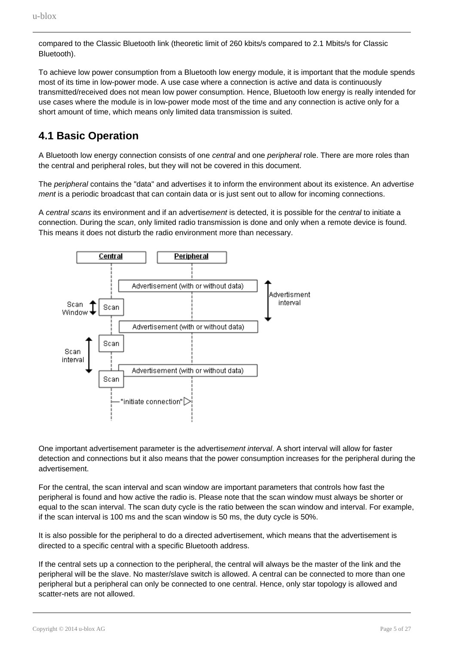compared to the Classic Bluetooth link (theoretic limit of 260 kbits/s compared to 2.1 Mbits/s for Classic Bluetooth).

To achieve low power consumption from a Bluetooth low energy module, it is important that the module spends most of its time in low-power mode. A use case where a connection is active and data is continuously transmitted/received does not mean low power consumption. Hence, Bluetooth low energy is really intended for use cases where the module is in low-power mode most of the time and any connection is active only for a short amount of time, which means only limited data transmission is suited.

### <span id="page-4-0"></span>**4.1 Basic Operation**

A Bluetooth low energy connection consists of one *central* and one *peripheral* role. There are more roles than the central and peripheral roles, but they will not be covered in this document.

The *peripheral* contains the "data" and advertises it to inform the environment about its existence. An advertise ment is a periodic broadcast that can contain data or is just sent out to allow for incoming connections.

A central scans its environment and if an advertisement is detected, it is possible for the central to initiate a connection. During the scan, only limited radio transmission is done and only when a remote device is found. This means it does not disturb the radio environment more than necessary.



One important advertisement parameter is the advertisement interval. A short interval will allow for faster detection and connections but it also means that the power consumption increases for the peripheral during the advertisement.

For the central, the scan interval and scan window are important parameters that controls how fast the peripheral is found and how active the radio is. Please note that the scan window must always be shorter or equal to the scan interval. The scan duty cycle is the ratio between the scan window and interval. For example, if the scan interval is 100 ms and the scan window is 50 ms, the duty cycle is 50%.

It is also possible for the peripheral to do a directed advertisement, which means that the advertisement is directed to a specific central with a specific Bluetooth address.

If the central sets up a connection to the peripheral, the central will always be the master of the link and the peripheral will be the slave. No master/slave switch is allowed. A central can be connected to more than one peripheral but a peripheral can only be connected to one central. Hence, only star topology is allowed and scatter-nets are not allowed.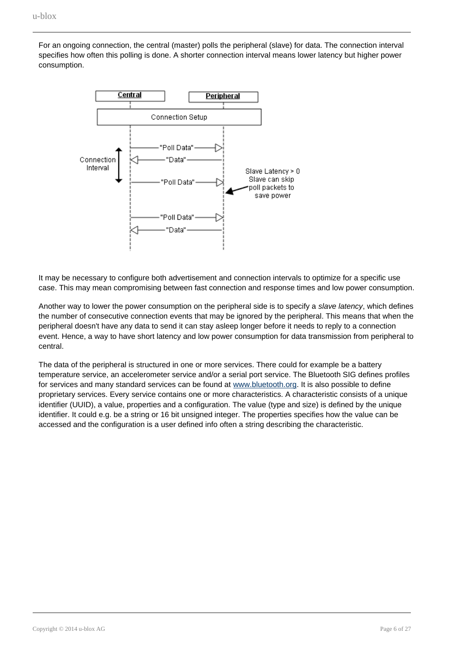For an ongoing connection, the central (master) polls the peripheral (slave) for data. The connection interval specifies how often this polling is done. A shorter connection interval means lower latency but higher power consumption.



It may be necessary to configure both advertisement and connection intervals to optimize for a specific use case. This may mean compromising between fast connection and response times and low power consumption.

Another way to lower the power consumption on the peripheral side is to specify a slave latency, which defines the number of consecutive connection events that may be ignored by the peripheral. This means that when the peripheral doesn't have any data to send it can stay asleep longer before it needs to reply to a connection event. Hence, a way to have short latency and low power consumption for data transmission from peripheral to central.

The data of the peripheral is structured in one or more services. There could for example be a battery temperature service, an accelerometer service and/or a serial port service. The Bluetooth SIG defines profiles for services and many standard services can be found at [www.bluetooth.org](http://www.bluetooth). It is also possible to define proprietary services. Every service contains one or more characteristics. A characteristic consists of a unique identifier (UUID), a value, properties and a configuration. The value (type and size) is defined by the unique identifier. It could e.g. be a string or 16 bit unsigned integer. The properties specifies how the value can be accessed and the configuration is a user defined info often a string describing the characteristic.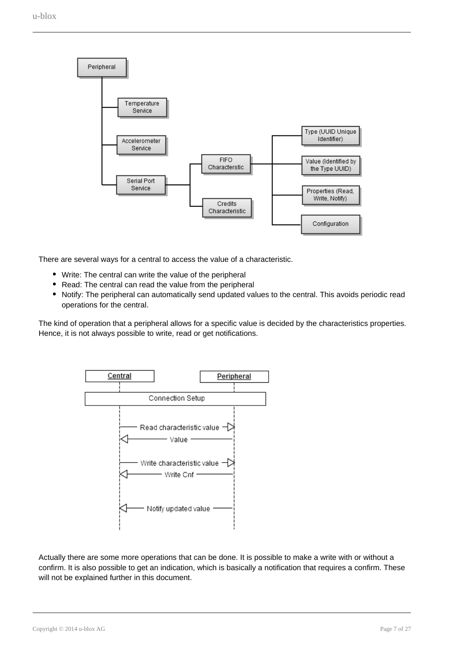

There are several ways for a central to access the value of a characteristic.

- Write: The central can write the value of the peripheral
- Read: The central can read the value from the peripheral
- Notify: The peripheral can automatically send updated values to the central. This avoids periodic read operations for the central.

The kind of operation that a peripheral allows for a specific value is decided by the characteristics properties. Hence, it is not always possible to write, read or get notifications.



Actually there are some more operations that can be done. It is possible to make a write with or without a confirm. It is also possible to get an indication, which is basically a notification that requires a confirm. These will not be explained further in this document.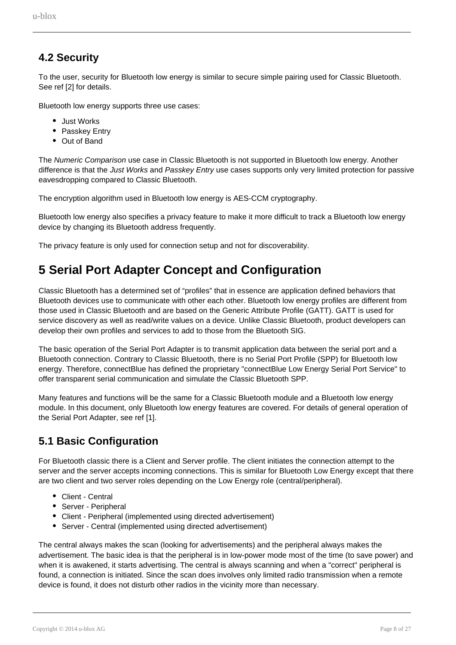### <span id="page-7-0"></span>**4.2 Security**

To the user, security for Bluetooth low energy is similar to secure simple pairing used for Classic Bluetooth. See ref [2] for details.

Bluetooth low energy supports three use cases:

- Just Works
- Passkey Entry
- Out of Band

The Numeric Comparison use case in Classic Bluetooth is not supported in Bluetooth low energy. Another difference is that the Just Works and Passkey Entry use cases supports only very limited protection for passive eavesdropping compared to Classic Bluetooth.

The encryption algorithm used in Bluetooth low energy is AES-CCM cryptography.

Bluetooth low energy also specifies a privacy feature to make it more difficult to track a Bluetooth low energy device by changing its Bluetooth address frequently.

The privacy feature is only used for connection setup and not for discoverability.

## <span id="page-7-1"></span>**5 Serial Port Adapter Concept and Configuration**

Classic Bluetooth has a determined set of "profiles" that in essence are application defined behaviors that Bluetooth devices use to communicate with other each other. Bluetooth low energy profiles are different from those used in Classic Bluetooth and are based on the Generic Attribute Profile (GATT). GATT is used for service discovery as well as read/write values on a device. Unlike Classic Bluetooth, product developers can develop their own profiles and services to add to those from the Bluetooth SIG.

The basic operation of the Serial Port Adapter is to transmit application data between the serial port and a Bluetooth connection. Contrary to Classic Bluetooth, there is no Serial Port Profile (SPP) for Bluetooth low energy. Therefore, connectBlue has defined the proprietary "connectBlue Low Energy Serial Port Service" to offer transparent serial communication and simulate the Classic Bluetooth SPP.

Many features and functions will be the same for a Classic Bluetooth module and a Bluetooth low energy module. In this document, only Bluetooth low energy features are covered. For details of general operation of the Serial Port Adapter, see ref [1].

### <span id="page-7-2"></span>**5.1 Basic Configuration**

For Bluetooth classic there is a Client and Server profile. The client initiates the connection attempt to the server and the server accepts incoming connections. This is similar for Bluetooth Low Energy except that there are two client and two server roles depending on the Low Energy role (central/peripheral).

- Client Central
- Server Peripheral
- Client Peripheral (implemented using directed advertisement)
- Server Central (implemented using directed advertisement)

The central always makes the scan (looking for advertisements) and the peripheral always makes the advertisement. The basic idea is that the peripheral is in low-power mode most of the time (to save power) and when it is awakened, it starts advertising. The central is always scanning and when a "correct" peripheral is found, a connection is initiated. Since the scan does involves only limited radio transmission when a remote device is found, it does not disturb other radios in the vicinity more than necessary.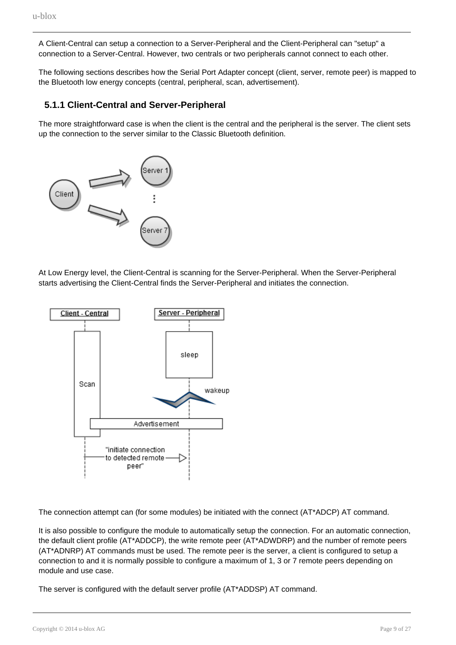A Client-Central can setup a connection to a Server-Peripheral and the Client-Peripheral can "setup" a connection to a Server-Central. However, two centrals or two peripherals cannot connect to each other.

The following sections describes how the Serial Port Adapter concept (client, server, remote peer) is mapped to the Bluetooth low energy concepts (central, peripheral, scan, advertisement).

#### <span id="page-8-0"></span>**5.1.1 Client-Central and Server-Peripheral**

The more straightforward case is when the client is the central and the peripheral is the server. The client sets up the connection to the server similar to the Classic Bluetooth definition.



At Low Energy level, the Client-Central is scanning for the Server-Peripheral. When the Server-Peripheral starts advertising the Client-Central finds the Server-Peripheral and initiates the connection.



The connection attempt can (for some modules) be initiated with the connect (AT\*ADCP) AT command.

It is also possible to configure the module to automatically setup the connection. For an automatic connection, the default client profile (AT\*ADDCP), the write remote peer (AT\*ADWDRP) and the number of remote peers (AT\*ADNRP) AT commands must be used. The remote peer is the server, a client is configured to setup a connection to and it is normally possible to configure a maximum of 1, 3 or 7 remote peers depending on module and use case.

The server is configured with the default server profile (AT\*ADDSP) AT command.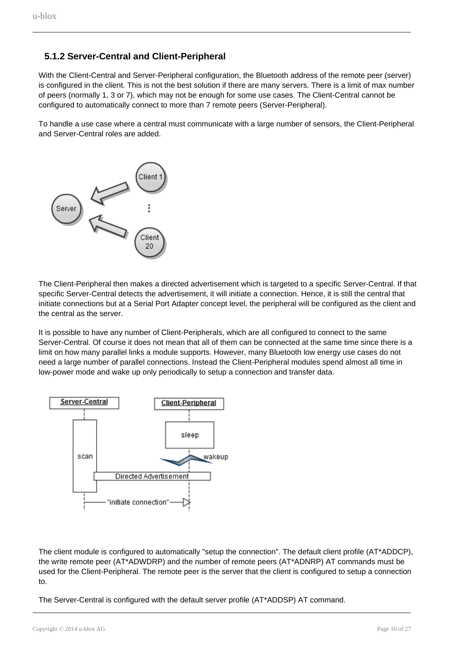#### **5.1.2 Server-Central and Client-Peripheral**

<span id="page-9-0"></span>With the Client-Central and Server-Peripheral configuration, the Bluetooth address of the remote peer (server) is configured in the client. This is not the best solution if there are many servers. There is a limit of max number of peers (normally 1, 3 or 7), which may not be enough for some use cases. The Client-Central cannot be configured to automatically connect to more than 7 remote peers (Server-Peripheral).

To handle a use case where a central must communicate with a large number of sensors, the Client-Peripheral and Server-Central roles are added.



The Client-Peripheral then makes a directed advertisement which is targeted to a specific Server-Central. If that specific Server-Central detects the advertisement, it will initiate a connection. Hence, it is still the central that initiate connections but at a Serial Port Adapter concept level, the peripheral will be configured as the client and the central as the server.

It is possible to have any number of Client-Peripherals, which are all configured to connect to the same Server-Central. Of course it does not mean that all of them can be connected at the same time since there is a limit on how many parallel links a module supports. However, many Bluetooth low energy use cases do not need a large number of parallel connections. Instead the Client-Peripheral modules spend almost all time in low-power mode and wake up only periodically to setup a connection and transfer data.



The client module is configured to automatically "setup the connection". The default client profile (AT\*ADDCP), the write remote peer (AT\*ADWDRP) and the number of remote peers (AT\*ADNRP) AT commands must be used for the Client-Peripheral. The remote peer is the server that the client is configured to setup a connection to.

The Server-Central is configured with the default server profile (AT\*ADDSP) AT command.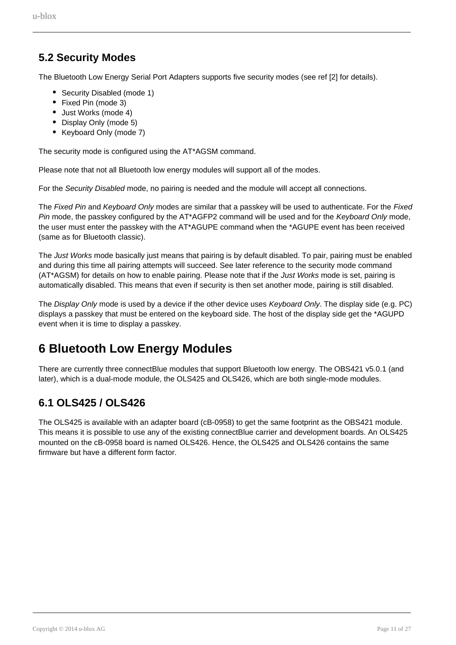### <span id="page-10-0"></span>**5.2 Security Modes**

The Bluetooth Low Energy Serial Port Adapters supports five security modes (see ref [2] for details).

- Security Disabled (mode 1)
- Fixed Pin (mode 3)
- Just Works (mode 4)
- Display Only (mode 5)
- Keyboard Only (mode 7)

The security mode is configured using the AT\*AGSM command.

Please note that not all Bluetooth low energy modules will support all of the modes.

For the Security Disabled mode, no pairing is needed and the module will accept all connections.

The Fixed Pin and Keyboard Only modes are similar that a passkey will be used to authenticate. For the Fixed Pin mode, the passkey configured by the AT\*AGFP2 command will be used and for the Keyboard Only mode. the user must enter the passkey with the AT\*AGUPE command when the \*AGUPE event has been received (same as for Bluetooth classic).

The Just Works mode basically just means that pairing is by default disabled. To pair, pairing must be enabled and during this time all pairing attempts will succeed. See later reference to the security mode command (AT\*AGSM) for details on how to enable pairing. Please note that if the Just Works mode is set, pairing is automatically disabled. This means that even if security is then set another mode, pairing is still disabled.

The Display Only mode is used by a device if the other device uses Keyboard Only. The display side (e.g. PC) displays a passkey that must be entered on the keyboard side. The host of the display side get the \*AGUPD event when it is time to display a passkey.

## <span id="page-10-1"></span>**6 Bluetooth Low Energy Modules**

There are currently three connectBlue modules that support Bluetooth low energy. The OBS421 v5.0.1 (and later), which is a dual-mode module, the OLS425 and OLS426, which are both single-mode modules.

### <span id="page-10-2"></span>**6.1 OLS425 / OLS426**

The OLS425 is available with an adapter board (cB-0958) to get the same footprint as the OBS421 module. This means it is possible to use any of the existing connectBlue carrier and development boards. An OLS425 mounted on the cB-0958 board is named OLS426. Hence, the OLS425 and OLS426 contains the same firmware but have a different form factor.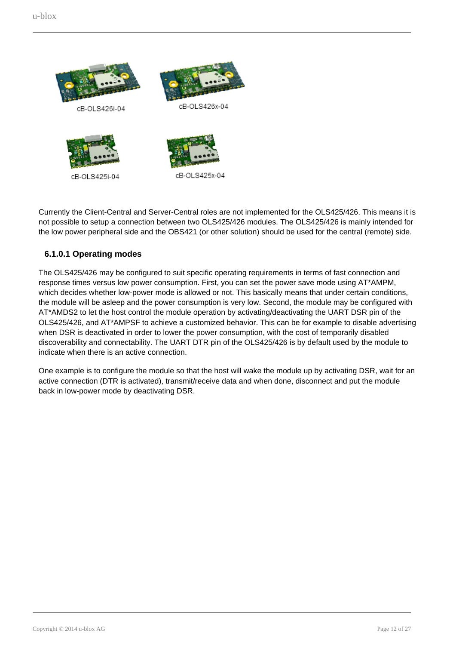

Currently the Client-Central and Server-Central roles are not implemented for the OLS425/426. This means it is not possible to setup a connection between two OLS425/426 modules. The OLS425/426 is mainly intended for the low power peripheral side and the OBS421 (or other solution) should be used for the central (remote) side.

#### **6.1.0.1 Operating modes**

The OLS425/426 may be configured to suit specific operating requirements in terms of fast connection and response times versus low power consumption. First, you can set the power save mode using AT\*AMPM, which decides whether low-power mode is allowed or not. This basically means that under certain conditions, the module will be asleep and the power consumption is very low. Second, the module may be configured with AT\*AMDS2 to let the host control the module operation by activating/deactivating the UART DSR pin of the OLS425/426, and AT\*AMPSF to achieve a customized behavior. This can be for example to disable advertising when DSR is deactivated in order to lower the power consumption, with the cost of temporarily disabled discoverability and connectability. The UART DTR pin of the OLS425/426 is by default used by the module to indicate when there is an active connection.

One example is to configure the module so that the host will wake the module up by activating DSR, wait for an active connection (DTR is activated), transmit/receive data and when done, disconnect and put the module back in low-power mode by deactivating DSR.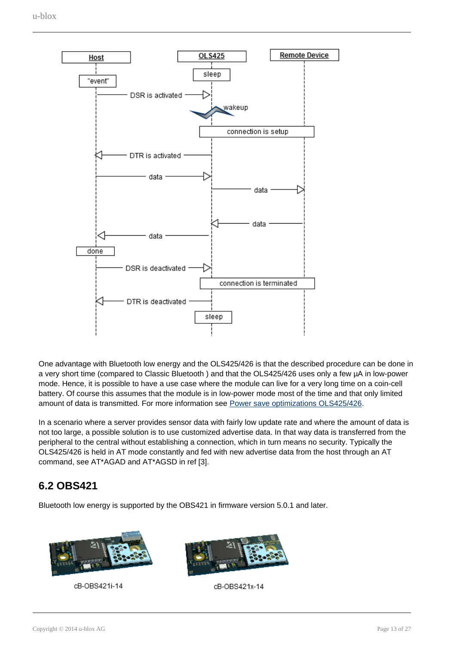

One advantage with Bluetooth low energy and the OLS425/426 is that the described procedure can be done in a very short time (compared to Classic Bluetooth ) and that the OLS425/426 uses only a few µA in low-power mode. Hence, it is possible to have a use case where the module can live for a very long time on a coin-cell battery. Of course this assumes that the module is in low-power mode most of the time and that only limited amount of data is transmitted. For more information see [Power save optimizations OLS425/426.](#page-15-2)

In a scenario where a server provides sensor data with fairly low update rate and where the amount of data is not too large, a possible solution is to use customized advertise data. In that way data is transferred from the peripheral to the central without establishing a connection, which in turn means no security. Typically the OLS425/426 is held in AT mode constantly and fed with new advertise data from the host through an AT command, see AT\*AGAD and AT\*AGSD in ref [3].

### **6.2 OBS421**

Bluetooth low energy is supported by the OBS421 in firmware version 5.0.1 and later.



cB-OBS421i-14



cB-OBS421x-14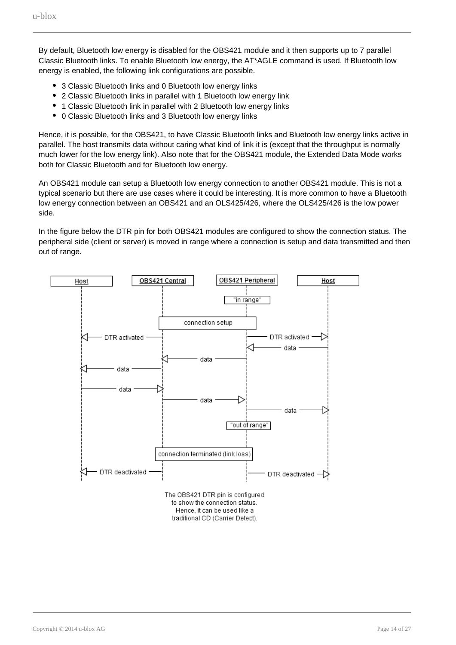By default, Bluetooth low energy is disabled for the OBS421 module and it then supports up to 7 parallel Classic Bluetooth links. To enable Bluetooth low energy, the AT\*AGLE command is used. If Bluetooth low energy is enabled, the following link configurations are possible.

- 3 Classic Bluetooth links and 0 Bluetooth low energy links
- 2 Classic Bluetooth links in parallel with 1 Bluetooth low energy link
- 1 Classic Bluetooth link in parallel with 2 Bluetooth low energy links
- $\bullet$ 0 Classic Bluetooth links and 3 Bluetooth low energy links

Hence, it is possible, for the OBS421, to have Classic Bluetooth links and Bluetooth low energy links active in parallel. The host transmits data without caring what kind of link it is (except that the throughput is normally much lower for the low energy link). Also note that for the OBS421 module, the Extended Data Mode works both for Classic Bluetooth and for Bluetooth low energy.

An OBS421 module can setup a Bluetooth low energy connection to another OBS421 module. This is not a typical scenario but there are use cases where it could be interesting. It is more common to have a Bluetooth low energy connection between an OBS421 and an OLS425/426, where the OLS425/426 is the low power side.

In the figure below the DTR pin for both OBS421 modules are configured to show the connection status. The peripheral side (client or server) is moved in range where a connection is setup and data transmitted and then out of range.



The OBS421 DTR pin is configured to show the connection status. Hence, it can be used like a traditional CD (Carrier Detect).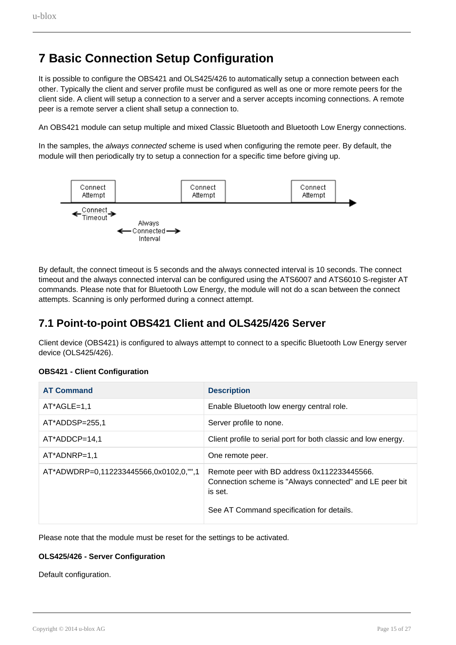## <span id="page-14-0"></span>**7 Basic Connection Setup Configuration**

It is possible to configure the OBS421 and OLS425/426 to automatically setup a connection between each other. Typically the client and server profile must be configured as well as one or more remote peers for the client side. A client will setup a connection to a server and a server accepts incoming connections. A remote peer is a remote server a client shall setup a connection to.

An OBS421 module can setup multiple and mixed Classic Bluetooth and Bluetooth Low Energy connections.

In the samples, the always connected scheme is used when configuring the remote peer. By default, the module will then periodically try to setup a connection for a specific time before giving up.



By default, the connect timeout is 5 seconds and the always connected interval is 10 seconds. The connect timeout and the always connected interval can be configured using the ATS6007 and ATS6010 S-register AT commands. Please note that for Bluetooth Low Energy, the module will not do a scan between the connect attempts. Scanning is only performed during a connect attempt.

### <span id="page-14-1"></span>**7.1 Point-to-point OBS421 Client and OLS425/426 Server**

Client device (OBS421) is configured to always attempt to connect to a specific Bluetooth Low Energy server device (OLS425/426).

| <b>AT Command</b>                      | <b>Description</b>                                                                                                                                             |
|----------------------------------------|----------------------------------------------------------------------------------------------------------------------------------------------------------------|
| $AT^*AGLE=1,1$                         | Enable Bluetooth low energy central role.                                                                                                                      |
| AT*ADDSP=255,1                         | Server profile to none.                                                                                                                                        |
| $AT^*ADDCP=14,1$                       | Client profile to serial port for both classic and low energy.                                                                                                 |
| $AT^*ADNRP=1.1$                        | One remote peer.                                                                                                                                               |
| AT*ADWDRP=0,112233445566,0x0102,0,"",1 | Remote peer with BD address 0x112233445566.<br>Connection scheme is "Always connected" and LE peer bit<br>is set.<br>See AT Command specification for details. |

#### **OBS421 - Client Configuration**

Please note that the module must be reset for the settings to be activated.

#### **OLS425/426 - Server Configuration**

Default configuration.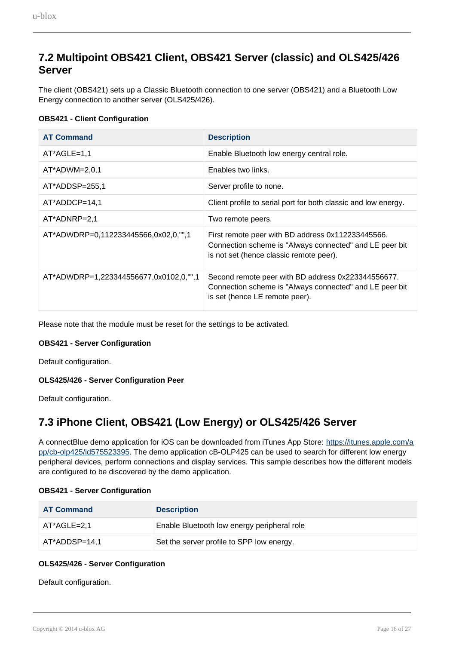### <span id="page-15-0"></span>**7.2 Multipoint OBS421 Client, OBS421 Server (classic) and OLS425/426 Server**

The client (OBS421) sets up a Classic Bluetooth connection to one server (OBS421) and a Bluetooth Low Energy connection to another server (OLS425/426).

#### **OBS421 - Client Configuration**

| <b>AT Command</b>                      | <b>Description</b>                                                                                                                                      |
|----------------------------------------|---------------------------------------------------------------------------------------------------------------------------------------------------------|
| $AT^*AGLE=1,1$                         | Enable Bluetooth low energy central role.                                                                                                               |
| $AT^*ADWM=2,0,1$                       | Enables two links.                                                                                                                                      |
| $AT*ADDSP=255,1$                       | Server profile to none.                                                                                                                                 |
| AT*ADDCP=14,1                          | Client profile to serial port for both classic and low energy.                                                                                          |
| $AT*ADNRP=2,1$                         | Two remote peers.                                                                                                                                       |
| AT*ADWDRP=0,112233445566,0x02,0,"",1   | First remote peer with BD address 0x112233445566.<br>Connection scheme is "Always connected" and LE peer bit<br>is not set (hence classic remote peer). |
| AT*ADWDRP=1,223344556677,0x0102,0,"",1 | Second remote peer with BD address 0x223344556677.<br>Connection scheme is "Always connected" and LE peer bit<br>is set (hence LE remote peer).         |

Please note that the module must be reset for the settings to be activated.

#### **OBS421 - Server Configuration**

Default configuration.

#### **OLS425/426 - Server Configuration Peer**

Default configuration.

### <span id="page-15-1"></span>**7.3 iPhone Client, OBS421 (Low Energy) or OLS425/426 Server**

A connectBlue demo application for iOS can be downloaded from iTunes App Store: [https://itunes.apple.com/a](https://itunes.apple.com/app/cb-olp425/id575523395) [pp/cb-olp425/id575523395](https://itunes.apple.com/app/cb-olp425/id575523395). The demo application cB-OLP425 can be used to search for different low energy peripheral devices, perform connections and display services. This sample describes how the different models are configured to be discovered by the demo application.

#### **OBS421 - Server Configuration**

| <b>AT Command</b> | <b>Description</b>                          |
|-------------------|---------------------------------------------|
| AT*AGLE=2.1       | Enable Bluetooth low energy peripheral role |
| AT*ADDSP=14,1     | Set the server profile to SPP low energy.   |

#### **OLS425/426 - Server Configuration**

<span id="page-15-2"></span>Default configuration.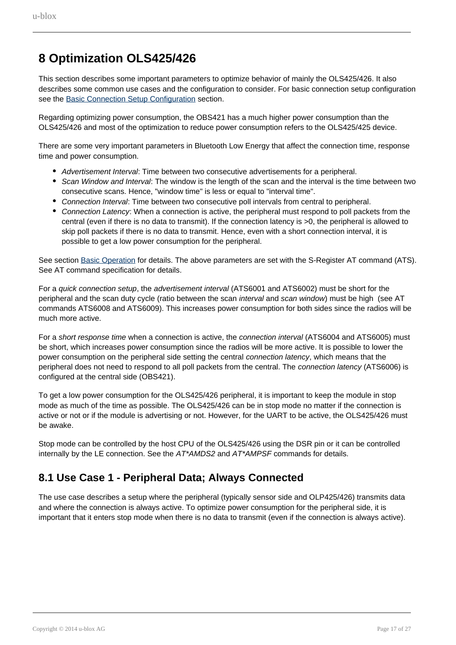## <span id="page-16-0"></span>**8 Optimization OLS425/426**

This section describes some important parameters to optimize behavior of mainly the OLS425/426. It also describes some common use cases and the configuration to consider. For basic connection setup configuration see the [Basic Connection Setup Configuration](#page-14-0) section.

Regarding optimizing power consumption, the OBS421 has a much higher power consumption than the OLS425/426 and most of the optimization to reduce power consumption refers to the OLS425/425 device.

There are some very important parameters in Bluetooth Low Energy that affect the connection time, response time and power consumption.

- Advertisement Interval: Time between two consecutive advertisements for a peripheral.
- Scan Window and Interval: The window is the length of the scan and the interval is the time between two consecutive scans. Hence, "window time" is less or equal to "interval time".
- Connection Interval: Time between two consecutive poll intervals from central to peripheral.
- Connection Latency: When a connection is active, the peripheral must respond to poll packets from the central (even if there is no data to transmit). If the connection latency is >0, the peripheral is allowed to skip poll packets if there is no data to transmit. Hence, even with a short connection interval, it is possible to get a low power consumption for the peripheral.

See section [Basic Operation](#page-4-0) for details. The above parameters are set with the S-Register AT command (ATS). See AT command specification for details.

For a quick connection setup, the advertisement interval (ATS6001 and ATS6002) must be short for the peripheral and the scan duty cycle (ratio between the scan *interval* and scan window) must be high (see AT commands ATS6008 and ATS6009). This increases power consumption for both sides since the radios will be much more active.

For a short response time when a connection is active, the *connection interval* (ATS6004 and ATS6005) must be short, which increases power consumption since the radios will be more active. It is possible to lower the power consumption on the peripheral side setting the central connection latency, which means that the peripheral does not need to respond to all poll packets from the central. The connection latency (ATS6006) is configured at the central side (OBS421).

To get a low power consumption for the OLS425/426 peripheral, it is important to keep the module in stop mode as much of the time as possible. The OLS425/426 can be in stop mode no matter if the connection is active or not or if the module is advertising or not. However, for the UART to be active, the OLS425/426 must be awake.

Stop mode can be controlled by the host CPU of the OLS425/426 using the DSR pin or it can be controlled internally by the LE connection. See the AT\*AMDS2 and AT\*AMPSF commands for details.

### <span id="page-16-1"></span>**8.1 Use Case 1 - Peripheral Data; Always Connected**

The use case describes a setup where the peripheral (typically sensor side and OLP425/426) transmits data and where the connection is always active. To optimize power consumption for the peripheral side, it is important that it enters stop mode when there is no data to transmit (even if the connection is always active).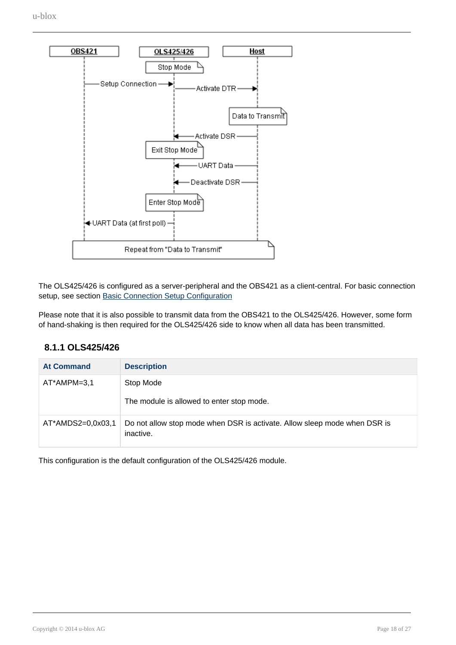

The OLS425/426 is configured as a server-peripheral and the OBS421 as a client-central. For basic connection setup, see section [Basic Connection Setup Configuration](#page-14-0)

Please note that it is also possible to transmit data from the OBS421 to the OLS425/426. However, some form of hand-shaking is then required for the OLS425/426 side to know when all data has been transmitted.

#### **8.1.1 OLS425/426**

| <b>At Command</b> | <b>Description</b>                                                                     |
|-------------------|----------------------------------------------------------------------------------------|
| AT*AMPM=3,1       | Stop Mode<br>The module is allowed to enter stop mode.                                 |
| AT*AMDS2=0,0x03,1 | Do not allow stop mode when DSR is activate. Allow sleep mode when DSR is<br>inactive. |

This configuration is the default configuration of the OLS425/426 module.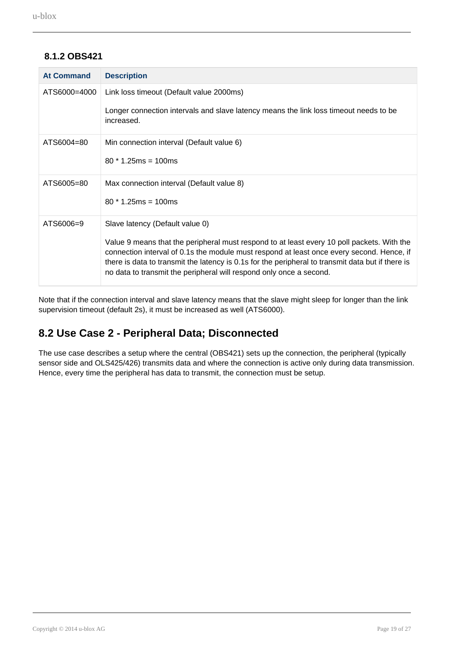#### **8.1.2 OBS421**

| <b>At Command</b> | <b>Description</b>                                                                                                                                                                                                                                                                                                                                                  |
|-------------------|---------------------------------------------------------------------------------------------------------------------------------------------------------------------------------------------------------------------------------------------------------------------------------------------------------------------------------------------------------------------|
| ATS6000=4000      | Link loss timeout (Default value 2000ms)                                                                                                                                                                                                                                                                                                                            |
|                   | Longer connection intervals and slave latency means the link loss timeout needs to be<br>increased.                                                                                                                                                                                                                                                                 |
| ATS6004=80        | Min connection interval (Default value 6)                                                                                                                                                                                                                                                                                                                           |
|                   | $80 * 1.25$ ms = 100ms                                                                                                                                                                                                                                                                                                                                              |
| ATS6005=80        | Max connection interval (Default value 8)                                                                                                                                                                                                                                                                                                                           |
|                   | $80 * 1.25$ ms = 100ms                                                                                                                                                                                                                                                                                                                                              |
| ATS6006=9         | Slave latency (Default value 0)                                                                                                                                                                                                                                                                                                                                     |
|                   | Value 9 means that the peripheral must respond to at least every 10 poll packets. With the<br>connection interval of 0.1s the module must respond at least once every second. Hence, if<br>there is data to transmit the latency is 0.1s for the peripheral to transmit data but if there is<br>no data to transmit the peripheral will respond only once a second. |

Note that if the connection interval and slave latency means that the slave might sleep for longer than the link supervision timeout (default 2s), it must be increased as well (ATS6000).

### <span id="page-18-0"></span>**8.2 Use Case 2 - Peripheral Data; Disconnected**

The use case describes a setup where the central (OBS421) sets up the connection, the peripheral (typically sensor side and OLS425/426) transmits data and where the connection is active only during data transmission. Hence, every time the peripheral has data to transmit, the connection must be setup.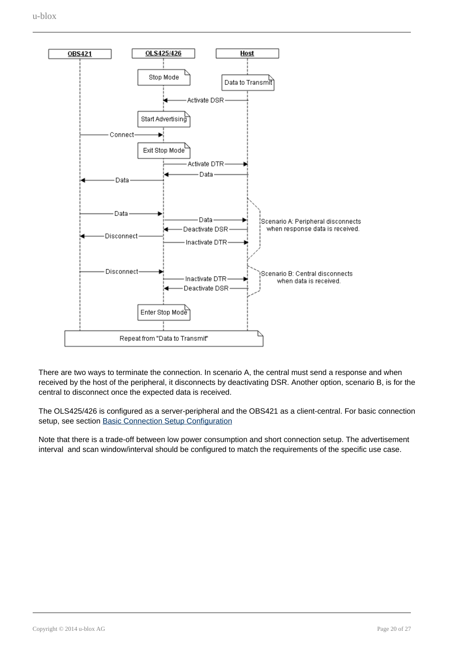

There are two ways to terminate the connection. In scenario A, the central must send a response and when received by the host of the peripheral, it disconnects by deactivating DSR. Another option, scenario B, is for the central to disconnect once the expected data is received.

The OLS425/426 is configured as a server-peripheral and the OBS421 as a client-central. For basic connection setup, see section [Basic Connection Setup Configuration](#page-14-0)

Note that there is a trade-off between low power consumption and short connection setup. The advertisement interval and scan window/interval should be configured to match the requirements of the specific use case.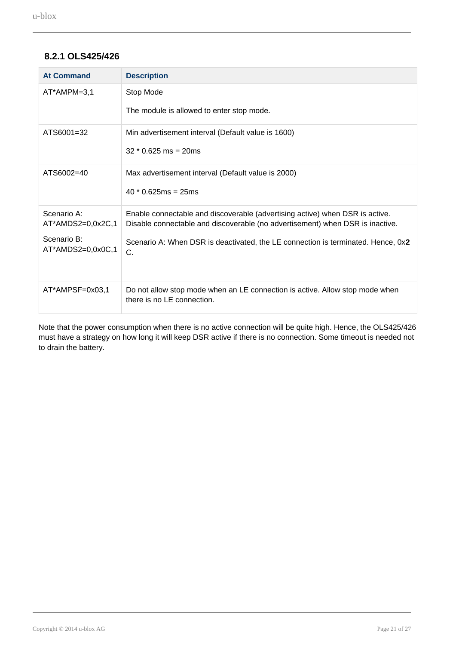#### **8.2.1 OLS425/426**

| <b>At Command</b>                | <b>Description</b>                                                                                                                                            |
|----------------------------------|---------------------------------------------------------------------------------------------------------------------------------------------------------------|
| AT*AMPM=3,1                      | Stop Mode                                                                                                                                                     |
|                                  | The module is allowed to enter stop mode.                                                                                                                     |
| ATS6001=32                       | Min advertisement interval (Default value is 1600)                                                                                                            |
|                                  | $32 * 0.625$ ms = 20ms                                                                                                                                        |
| ATS6002=40                       | Max advertisement interval (Default value is 2000)                                                                                                            |
|                                  | $40 * 0.625$ ms = 25ms                                                                                                                                        |
| Scenario A:<br>AT*AMDS2=0,0x2C,1 | Enable connectable and discoverable (advertising active) when DSR is active.<br>Disable connectable and discoverable (no advertisement) when DSR is inactive. |
| Scenario B:<br>AT*AMDS2=0,0x0C,1 | Scenario A: When DSR is deactivated, the LE connection is terminated. Hence, 0x2<br>C.                                                                        |
| AT*AMPSF=0x03,1                  | Do not allow stop mode when an LE connection is active. Allow stop mode when<br>there is no LE connection.                                                    |

Note that the power consumption when there is no active connection will be quite high. Hence, the OLS425/426 must have a strategy on how long it will keep DSR active if there is no connection. Some timeout is needed not to drain the battery.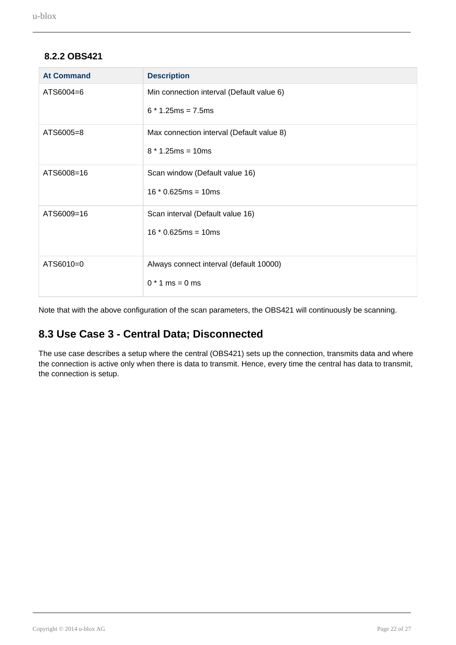#### **8.2.2 OBS421**

| <b>At Command</b> | <b>Description</b>                        |
|-------------------|-------------------------------------------|
| ATS6004=6         | Min connection interval (Default value 6) |
|                   | $6 * 1.25$ ms = 7.5ms                     |
| ATS6005=8         | Max connection interval (Default value 8) |
|                   | $8 * 1.25$ ms = 10ms                      |
| ATS6008=16        | Scan window (Default value 16)            |
|                   | $16 * 0.625ms = 10ms$                     |
| ATS6009=16        | Scan interval (Default value 16)          |
|                   | $16 * 0.625ms = 10ms$                     |
| ATS6010=0         | Always connect interval (default 10000)   |
|                   | $0 * 1$ ms = 0 ms                         |

Note that with the above configuration of the scan parameters, the OBS421 will continuously be scanning.

### <span id="page-21-0"></span>**8.3 Use Case 3 - Central Data; Disconnected**

The use case describes a setup where the central (OBS421) sets up the connection, transmits data and where the connection is active only when there is data to transmit. Hence, every time the central has data to transmit, the connection is setup.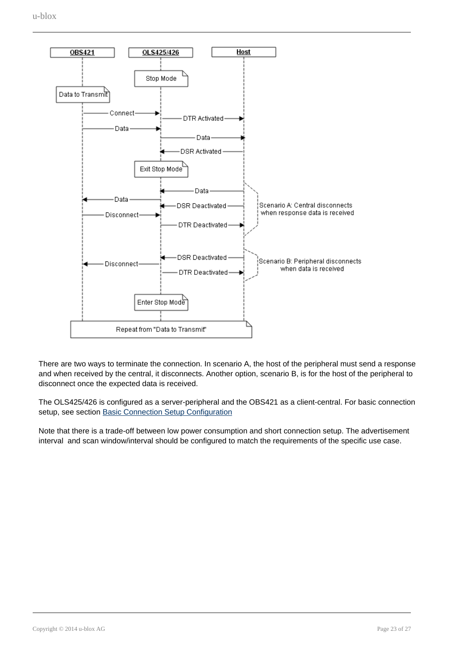

There are two ways to terminate the connection. In scenario A, the host of the peripheral must send a response and when received by the central, it disconnects. Another option, scenario B, is for the host of the peripheral to disconnect once the expected data is received.

The OLS425/426 is configured as a server-peripheral and the OBS421 as a client-central. For basic connection setup, see section [Basic Connection Setup Configuration](#page-14-0)

Note that there is a trade-off between low power consumption and short connection setup. The advertisement interval and scan window/interval should be configured to match the requirements of the specific use case.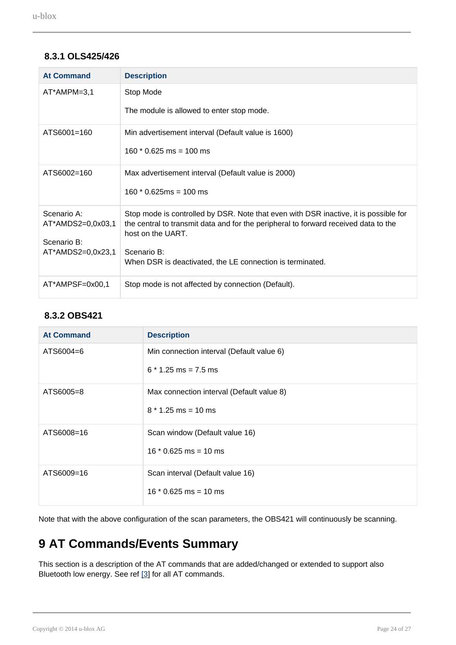#### **8.3.1 OLS425/426**

<span id="page-23-1"></span>

| <b>At Command</b>                | <b>Description</b>                                                                                                                                                                               |
|----------------------------------|--------------------------------------------------------------------------------------------------------------------------------------------------------------------------------------------------|
| AT*AMPM=3,1                      | Stop Mode                                                                                                                                                                                        |
|                                  | The module is allowed to enter stop mode.                                                                                                                                                        |
| ATS6001=160                      | Min advertisement interval (Default value is 1600)                                                                                                                                               |
|                                  | $160 * 0.625$ ms = 100 ms                                                                                                                                                                        |
| ATS6002=160                      | Max advertisement interval (Default value is 2000)                                                                                                                                               |
|                                  | $160 * 0.625ms = 100 ms$                                                                                                                                                                         |
| Scenario A:<br>AT*AMDS2=0,0x03,1 | Stop mode is controlled by DSR. Note that even with DSR inactive, it is possible for<br>the central to transmit data and for the peripheral to forward received data to the<br>host on the UART. |
| Scenario B:                      |                                                                                                                                                                                                  |
| AT*AMDS2=0,0x23,1                | Scenario B:<br>When DSR is deactivated, the LE connection is terminated.                                                                                                                         |
| AT*AMPSF=0x00,1                  | Stop mode is not affected by connection (Default).                                                                                                                                               |

#### **8.3.2 OBS421**

<span id="page-23-0"></span>

| <b>At Command</b> | <b>Description</b>                        |
|-------------------|-------------------------------------------|
| ATS6004=6         | Min connection interval (Default value 6) |
|                   | $6 * 1.25$ ms = 7.5 ms                    |
| ATS6005=8         | Max connection interval (Default value 8) |
|                   | $8 * 1.25$ ms = 10 ms                     |
| ATS6008=16        | Scan window (Default value 16)            |
|                   | $16 * 0.625$ ms = 10 ms                   |
| ATS6009=16        | Scan interval (Default value 16)          |
|                   | $16 * 0.625$ ms = 10 ms                   |

Note that with the above configuration of the scan parameters, the OBS421 will continuously be scanning.

## <span id="page-23-2"></span>**9 AT Commands/Events Summary**

This section is a description of the AT commands that are added/changed or extended to support also Bluetooth low energy. See ref [3] for all AT commands.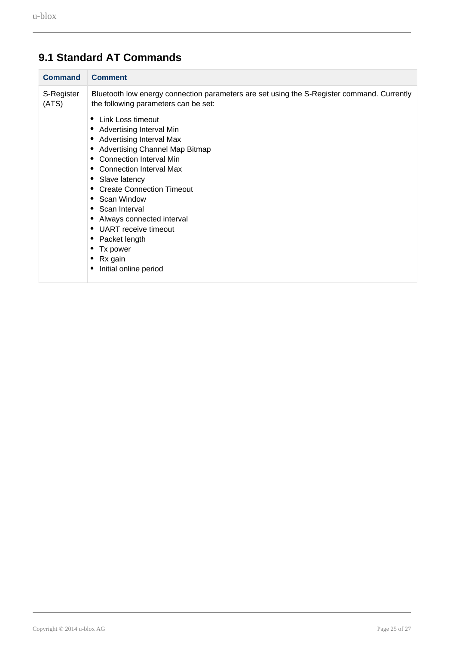| <b>Command</b>      | <b>Comment</b>                                                                                                                     |
|---------------------|------------------------------------------------------------------------------------------------------------------------------------|
| S-Register<br>(ATS) | Bluetooth low energy connection parameters are set using the S-Register command. Currently<br>the following parameters can be set: |
|                     | Link Loss timeout<br>٠                                                                                                             |
|                     | Advertising Interval Min<br>٠                                                                                                      |
|                     | <b>Advertising Interval Max</b><br>$\bullet$                                                                                       |
|                     | Advertising Channel Map Bitmap<br>$\bullet$                                                                                        |
|                     | <b>Connection Interval Min</b><br>٠                                                                                                |
|                     | Connection Interval Max                                                                                                            |
|                     | Slave latency                                                                                                                      |
|                     | <b>Create Connection Timeout</b><br>٠                                                                                              |
|                     | Scan Window<br>٠                                                                                                                   |
|                     | Scan Interval<br>٠                                                                                                                 |
|                     | Always connected interval                                                                                                          |
|                     | UART receive timeout<br>٠                                                                                                          |
|                     | Packet length                                                                                                                      |
|                     | Tx power                                                                                                                           |
|                     | Rx gain                                                                                                                            |
|                     | Initial online period                                                                                                              |
|                     |                                                                                                                                    |

## <span id="page-24-0"></span>**9.1 Standard AT Commands**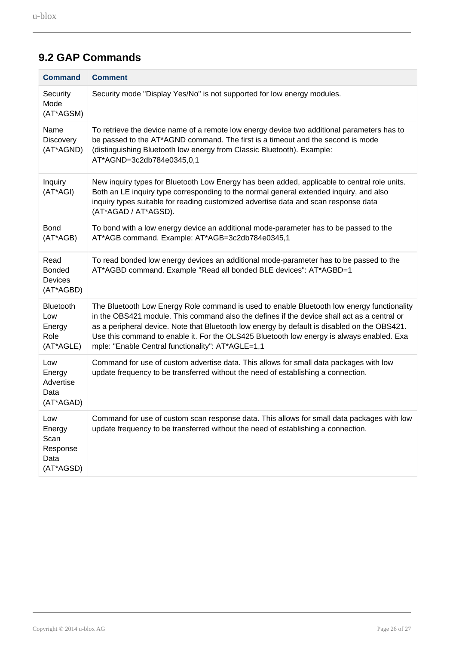| <b>Command</b>                                         | <b>Comment</b>                                                                                                                                                                                                                                                                                                                                                                                                                              |
|--------------------------------------------------------|---------------------------------------------------------------------------------------------------------------------------------------------------------------------------------------------------------------------------------------------------------------------------------------------------------------------------------------------------------------------------------------------------------------------------------------------|
| Security<br>Mode<br>(AT*AGSM)                          | Security mode "Display Yes/No" is not supported for low energy modules.                                                                                                                                                                                                                                                                                                                                                                     |
| Name<br><b>Discovery</b><br>(AT*AGND)                  | To retrieve the device name of a remote low energy device two additional parameters has to<br>be passed to the AT*AGND command. The first is a timeout and the second is mode<br>(distinguishing Bluetooth low energy from Classic Bluetooth). Example:<br>AT*AGND=3c2db784e0345,0,1                                                                                                                                                        |
| Inquiry<br>(AT*AGI)                                    | New inquiry types for Bluetooth Low Energy has been added, applicable to central role units.<br>Both an LE inquiry type corresponding to the normal general extended inquiry, and also<br>inquiry types suitable for reading customized advertise data and scan response data<br>(AT*AGAD / AT*AGSD).                                                                                                                                       |
| <b>Bond</b><br>(AT*AGB)                                | To bond with a low energy device an additional mode-parameter has to be passed to the<br>AT*AGB command. Example: AT*AGB=3c2db784e0345,1                                                                                                                                                                                                                                                                                                    |
| Read<br><b>Bonded</b><br>Devices<br>(AT*AGBD)          | To read bonded low energy devices an additional mode-parameter has to be passed to the<br>AT*AGBD command. Example "Read all bonded BLE devices": AT*AGBD=1                                                                                                                                                                                                                                                                                 |
| <b>Bluetooth</b><br>Low<br>Energy<br>Role<br>(AT*AGLE) | The Bluetooth Low Energy Role command is used to enable Bluetooth low energy functionality<br>in the OBS421 module. This command also the defines if the device shall act as a central or<br>as a peripheral device. Note that Bluetooth low energy by default is disabled on the OBS421.<br>Use this command to enable it. For the OLS425 Bluetooth low energy is always enabled. Exa<br>mple: "Enable Central functionality": AT*AGLE=1,1 |
| Low<br>Energy<br>Advertise<br>Data<br>(AT*AGAD)        | Command for use of custom advertise data. This allows for small data packages with low<br>update frequency to be transferred without the need of establishing a connection.                                                                                                                                                                                                                                                                 |
| Low<br>Energy<br>Scan<br>Response<br>Data<br>(AT*AGSD) | Command for use of custom scan response data. This allows for small data packages with low<br>update frequency to be transferred without the need of establishing a connection.                                                                                                                                                                                                                                                             |

## <span id="page-25-0"></span>**9.2 GAP Commands**